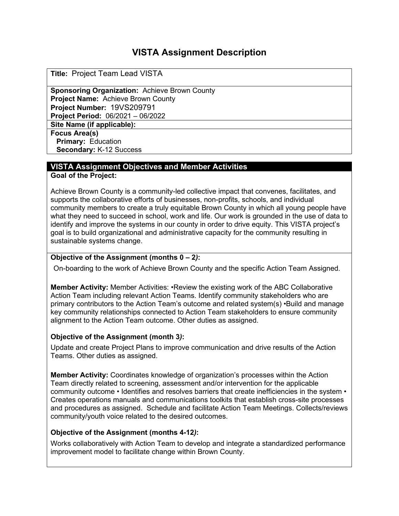# **VISTA Assignment Description**

**Title:** Project Team Lead VISTA

**Sponsoring Organization:** Achieve Brown County **Project Name:** Achieve Brown County **Project Number:** 19VS209791 **Project Period:** 06/2021 – 06/2022

**Site Name (if applicable):**

**Focus Area(s) Primary:** Education **Secondary:** K-12 Success

## **VISTA Assignment Objectives and Member Activities**

**Goal of the Project:** 

Achieve Brown County is a community-led collective impact that convenes, facilitates, and supports the collaborative efforts of businesses, non-profits, schools, and individual community members to create a truly equitable Brown County in which all young people have what they need to succeed in school, work and life. Our work is grounded in the use of data to identify and improve the systems in our county in order to drive equity. This VISTA project's goal is to build organizational and administrative capacity for the community resulting in sustainable systems change.

#### **Objective of the Assignment (months 0 – 2***)***:**

On-boarding to the work of Achieve Brown County and the specific Action Team Assigned.

**Member Activity:** Member Activities: •Review the existing work of the ABC Collaborative Action Team including relevant Action Teams. Identify community stakeholders who are primary contributors to the Action Team's outcome and related system(s) •Build and manage key community relationships connected to Action Team stakeholders to ensure community alignment to the Action Team outcome. Other duties as assigned.

#### **Objective of the Assignment (month 3***)***:**

Update and create Project Plans to improve communication and drive results of the Action Teams. Other duties as assigned.

**Member Activity:** Coordinates knowledge of organization's processes within the Action Team directly related to screening, assessment and/or intervention for the applicable community outcome • Identifies and resolves barriers that create inefficiencies in the system • Creates operations manuals and communications toolkits that establish cross-site processes and procedures as assigned. Schedule and facilitate Action Team Meetings. Collects/reviews community/youth voice related to the desired outcomes.

#### **Objective of the Assignment (months 4-12***)***:**

Works collaboratively with Action Team to develop and integrate a standardized performance improvement model to facilitate change within Brown County.